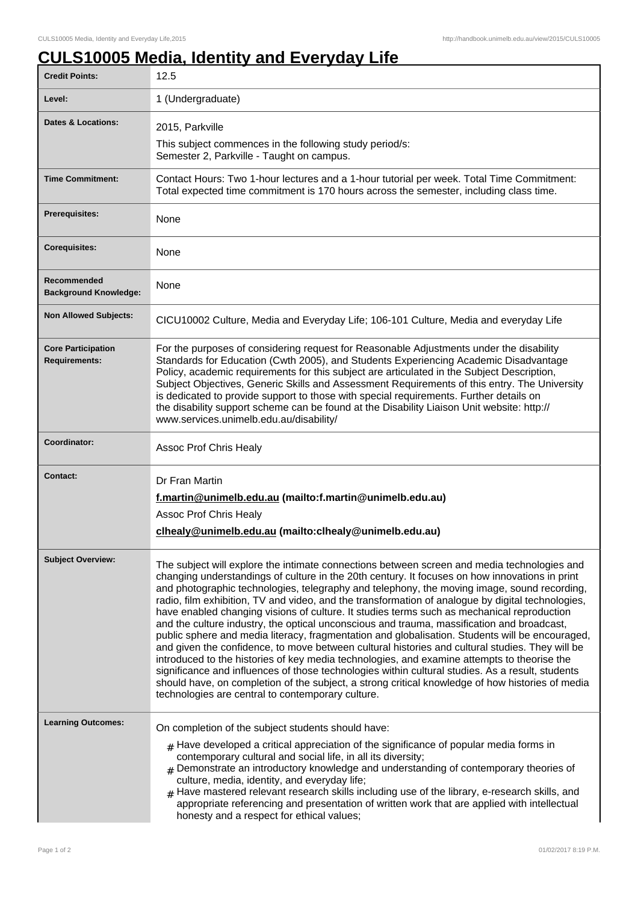## **CULS10005 Media, Identity and Everyday Life**

| <b>Credit Points:</b>                             | 12.5                                                                                                                                                                                                                                                                                                                                                                                                                                                                                                                                                                                                                                                                                                                                                                                                                                                                                                                                                                                                                                                                                                                                                            |
|---------------------------------------------------|-----------------------------------------------------------------------------------------------------------------------------------------------------------------------------------------------------------------------------------------------------------------------------------------------------------------------------------------------------------------------------------------------------------------------------------------------------------------------------------------------------------------------------------------------------------------------------------------------------------------------------------------------------------------------------------------------------------------------------------------------------------------------------------------------------------------------------------------------------------------------------------------------------------------------------------------------------------------------------------------------------------------------------------------------------------------------------------------------------------------------------------------------------------------|
| Level:                                            | 1 (Undergraduate)                                                                                                                                                                                                                                                                                                                                                                                                                                                                                                                                                                                                                                                                                                                                                                                                                                                                                                                                                                                                                                                                                                                                               |
| <b>Dates &amp; Locations:</b>                     | 2015, Parkville                                                                                                                                                                                                                                                                                                                                                                                                                                                                                                                                                                                                                                                                                                                                                                                                                                                                                                                                                                                                                                                                                                                                                 |
|                                                   | This subject commences in the following study period/s:<br>Semester 2, Parkville - Taught on campus.                                                                                                                                                                                                                                                                                                                                                                                                                                                                                                                                                                                                                                                                                                                                                                                                                                                                                                                                                                                                                                                            |
| <b>Time Commitment:</b>                           | Contact Hours: Two 1-hour lectures and a 1-hour tutorial per week. Total Time Commitment:<br>Total expected time commitment is 170 hours across the semester, including class time.                                                                                                                                                                                                                                                                                                                                                                                                                                                                                                                                                                                                                                                                                                                                                                                                                                                                                                                                                                             |
| <b>Prerequisites:</b>                             | None                                                                                                                                                                                                                                                                                                                                                                                                                                                                                                                                                                                                                                                                                                                                                                                                                                                                                                                                                                                                                                                                                                                                                            |
| <b>Corequisites:</b>                              | None                                                                                                                                                                                                                                                                                                                                                                                                                                                                                                                                                                                                                                                                                                                                                                                                                                                                                                                                                                                                                                                                                                                                                            |
| Recommended<br><b>Background Knowledge:</b>       | None                                                                                                                                                                                                                                                                                                                                                                                                                                                                                                                                                                                                                                                                                                                                                                                                                                                                                                                                                                                                                                                                                                                                                            |
| <b>Non Allowed Subjects:</b>                      | CICU10002 Culture, Media and Everyday Life; 106-101 Culture, Media and everyday Life                                                                                                                                                                                                                                                                                                                                                                                                                                                                                                                                                                                                                                                                                                                                                                                                                                                                                                                                                                                                                                                                            |
| <b>Core Participation</b><br><b>Requirements:</b> | For the purposes of considering request for Reasonable Adjustments under the disability<br>Standards for Education (Cwth 2005), and Students Experiencing Academic Disadvantage<br>Policy, academic requirements for this subject are articulated in the Subject Description,<br>Subject Objectives, Generic Skills and Assessment Requirements of this entry. The University<br>is dedicated to provide support to those with special requirements. Further details on<br>the disability support scheme can be found at the Disability Liaison Unit website: http://<br>www.services.unimelb.edu.au/disability/                                                                                                                                                                                                                                                                                                                                                                                                                                                                                                                                                |
| Coordinator:                                      | Assoc Prof Chris Healy                                                                                                                                                                                                                                                                                                                                                                                                                                                                                                                                                                                                                                                                                                                                                                                                                                                                                                                                                                                                                                                                                                                                          |
| <b>Contact:</b>                                   | Dr Fran Martin<br>f.martin@unimelb.edu.au (mailto:f.martin@unimelb.edu.au)<br><b>Assoc Prof Chris Healy</b><br>clhealy@unimelb.edu.au (mailto:clhealy@unimelb.edu.au)                                                                                                                                                                                                                                                                                                                                                                                                                                                                                                                                                                                                                                                                                                                                                                                                                                                                                                                                                                                           |
| <b>Subject Overview:</b>                          | The subject will explore the intimate connections between screen and media technologies and<br>changing understandings of culture in the 20th century. It focuses on how innovations in print<br>and photographic technologies, telegraphy and telephony, the moving image, sound recording,<br>radio, film exhibition, TV and video, and the transformation of analogue by digital technologies,<br>have enabled changing visions of culture. It studies terms such as mechanical reproduction<br>and the culture industry, the optical unconscious and trauma, massification and broadcast,<br>public sphere and media literacy, fragmentation and globalisation. Students will be encouraged,<br>and given the confidence, to move between cultural histories and cultural studies. They will be<br>introduced to the histories of key media technologies, and examine attempts to theorise the<br>significance and influences of those technologies within cultural studies. As a result, students<br>should have, on completion of the subject, a strong critical knowledge of how histories of media<br>technologies are central to contemporary culture. |
| <b>Learning Outcomes:</b>                         | On completion of the subject students should have:<br>$_{\#}$ Have developed a critical appreciation of the significance of popular media forms in<br>contemporary cultural and social life, in all its diversity;<br>Demonstrate an introductory knowledge and understanding of contemporary theories of<br>culture, media, identity, and everyday life;<br>$#$ Have mastered relevant research skills including use of the library, e-research skills, and<br>appropriate referencing and presentation of written work that are applied with intellectual<br>honesty and a respect for ethical values;                                                                                                                                                                                                                                                                                                                                                                                                                                                                                                                                                        |